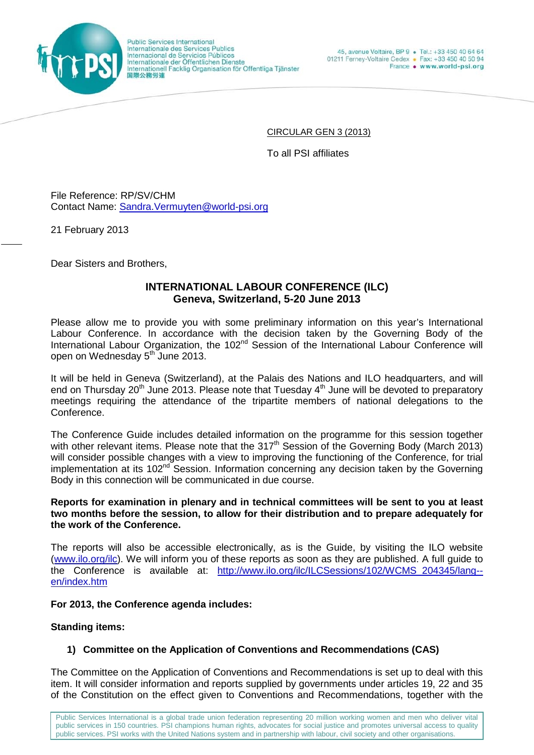

Public Services International<br>Internationale des Services Publics Internacional de Servicios Públicos Internationale der Öffentlichen Dienste<br>Internationale der Öffentlichen Dienste 国際公務労連

CIRCULAR GEN 3 (2013)

To all PSI affiliates

File Reference: RP/SV/CHM Contact Name: [Sandra.Vermuyten@world-psi.org](mailto:Sandra.Vermuyten@world-psi.org)

21 February 2013

Dear Sisters and Brothers,

# **INTERNATIONAL LABOUR CONFERENCE (ILC) Geneva, Switzerland, 5-20 June 2013**

Please allow me to provide you with some preliminary information on this year's International Labour Conference. In accordance with the decision taken by the Governing Body of the International Labour Organization, the 102<sup>nd</sup> Session of the International Labour Conference will open on Wednesday 5<sup>th</sup> June 2013.

It will be held in Geneva (Switzerland), at the Palais des Nations and ILO headquarters, and will end on Thursday 20<sup>th</sup> June 2013. Please note that Tuesday 4<sup>th</sup> June will be devoted to preparatory meetings requiring the attendance of the tripartite members of national delegations to the Conference.

The Conference Guide includes detailed information on the programme for this session together with other relevant items. Please note that the 317<sup>th</sup> Session of the Governing Body (March 2013) will consider possible changes with a view to improving the functioning of the Conference, for trial implementation at its 102<sup>nd</sup> Session. Information concerning any decision taken by the Governing Body in this connection will be communicated in due course.

## **Reports for examination in plenary and in technical committees will be sent to you at least two months before the session, to allow for their distribution and to prepare adequately for the work of the Conference.**

The reports will also be accessible electronically, as is the Guide, by visiting the ILO website [\(www.ilo.org/ilc\)](http://www.ilo.org/ilc). We will inform you of these reports as soon as they are published. A full guide to the Conference is available at: [http://www.ilo.org/ilc/ILCSessions/102/WCMS\\_204345/lang-](http://www.ilo.org/ilc/ILCSessions/102/WCMS_204345/lang--en/index.htm) [en/index.htm](http://www.ilo.org/ilc/ILCSessions/102/WCMS_204345/lang--en/index.htm)

## **For 2013, the Conference agenda includes:**

# **Standing items:**

# **1) Committee on the Application of Conventions and Recommendations (CAS)**

The Committee on the Application of Conventions and Recommendations is set up to deal with this item. It will consider information and reports supplied by governments under articles 19, 22 and 35 of the Constitution on the effect given to Conventions and Recommendations, together with the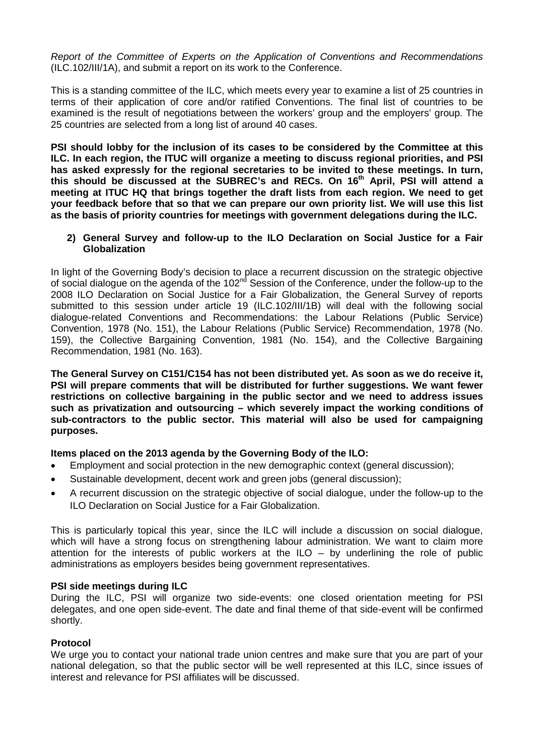*Report of the Committee of Experts on the Application of Conventions and Recommendations*  (ILC.102/III/1A), and submit a report on its work to the Conference.

This is a standing committee of the ILC, which meets every year to examine a list of 25 countries in terms of their application of core and/or ratified Conventions. The final list of countries to be examined is the result of negotiations between the workers' group and the employers' group. The 25 countries are selected from a long list of around 40 cases.

**PSI should lobby for the inclusion of its cases to be considered by the Committee at this ILC. In each region, the ITUC will organize a meeting to discuss regional priorities, and PSI has asked expressly for the regional secretaries to be invited to these meetings. In turn,**  this should be discussed at the SUBREC's and RECs. On 16<sup>th</sup> April, PSI will attend a **meeting at ITUC HQ that brings together the draft lists from each region. We need to get your feedback before that so that we can prepare our own priority list. We will use this list as the basis of priority countries for meetings with government delegations during the ILC.** 

### **2) General Survey and follow-up to the ILO Declaration on Social Justice for a Fair Globalization**

In light of the Governing Body's decision to place a recurrent discussion on the strategic objective of social dialogue on the agenda of the 102<sup>nd</sup> Session of the Conference, under the follow-up to the 2008 ILO Declaration on Social Justice for a Fair Globalization, the General Survey of reports submitted to this session under article 19 (ILC.102/III/1B) will deal with the following social dialogue-related Conventions and Recommendations: the Labour Relations (Public Service) Convention, 1978 (No. 151), the Labour Relations (Public Service) Recommendation, 1978 (No. 159), the Collective Bargaining Convention, 1981 (No. 154), and the Collective Bargaining Recommendation, 1981 (No. 163).

**The General Survey on C151/C154 has not been distributed yet. As soon as we do receive it, PSI will prepare comments that will be distributed for further suggestions. We want fewer restrictions on collective bargaining in the public sector and we need to address issues such as privatization and outsourcing – which severely impact the working conditions of sub-contractors to the public sector. This material will also be used for campaigning purposes.** 

## **Items placed on the 2013 agenda by the Governing Body of the ILO:**

- Employment and social protection in the new demographic context (general discussion);
- Sustainable development, decent work and green jobs (general discussion);
- A recurrent discussion on the strategic objective of social dialogue, under the follow-up to the ILO Declaration on Social Justice for a Fair Globalization.

This is particularly topical this year, since the ILC will include a discussion on social dialogue, which will have a strong focus on strengthening labour administration. We want to claim more attention for the interests of public workers at the ILO – by underlining the role of public administrations as employers besides being government representatives.

## **PSI side meetings during ILC**

During the ILC, PSI will organize two side-events: one closed orientation meeting for PSI delegates, and one open side-event. The date and final theme of that side-event will be confirmed shortly.

## **Protocol**

We urge you to contact your national trade union centres and make sure that you are part of your national delegation, so that the public sector will be well represented at this ILC, since issues of interest and relevance for PSI affiliates will be discussed.